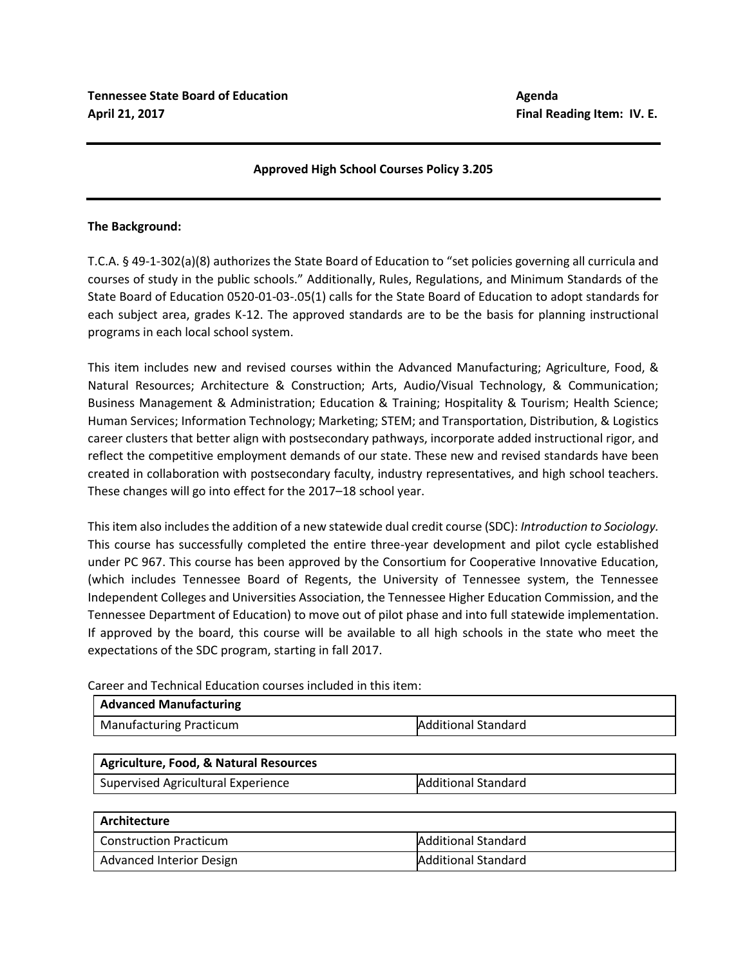# **Approved High School Courses Policy 3.205**

### **The Background:**

T.C.A. § 49-1-302(a)(8) authorizes the State Board of Education to "set policies governing all curricula and courses of study in the public schools." Additionally, Rules, Regulations, and Minimum Standards of the State Board of Education 0520-01-03-.05(1) calls for the State Board of Education to adopt standards for each subject area, grades K-12. The approved standards are to be the basis for planning instructional programs in each local school system.

This item includes new and revised courses within the Advanced Manufacturing; Agriculture, Food, & Natural Resources; Architecture & Construction; Arts, Audio/Visual Technology, & Communication; Business Management & Administration; Education & Training; Hospitality & Tourism; Health Science; Human Services; Information Technology; Marketing; STEM; and Transportation, Distribution, & Logistics career clusters that better align with postsecondary pathways, incorporate added instructional rigor, and reflect the competitive employment demands of our state. These new and revised standards have been created in collaboration with postsecondary faculty, industry representatives, and high school teachers. These changes will go into effect for the 2017–18 school year.

This item also includes the addition of a new statewide dual credit course (SDC): *Introduction to Sociology.*  This course has successfully completed the entire three-year development and pilot cycle established under PC 967. This course has been approved by the Consortium for Cooperative Innovative Education, (which includes Tennessee Board of Regents, the University of Tennessee system, the Tennessee Independent Colleges and Universities Association, the Tennessee Higher Education Commission, and the Tennessee Department of Education) to move out of pilot phase and into full statewide implementation. If approved by the board, this course will be available to all high schools in the state who meet the expectations of the SDC program, starting in fall 2017.

Career and Technical Education courses included in this item:

| Advanced Manufacturing  |                            |
|-------------------------|----------------------------|
| Manufacturing Practicum | <b>Additional Standard</b> |

| Agriculture, Food, & Natural Resources |                     |
|----------------------------------------|---------------------|
| Supervised Agricultural Experience     | Additional Standard |

| Architecture                    |                            |
|---------------------------------|----------------------------|
| <b>Construction Practicum</b>   | Additional Standard        |
| <b>Advanced Interior Design</b> | <b>Additional Standard</b> |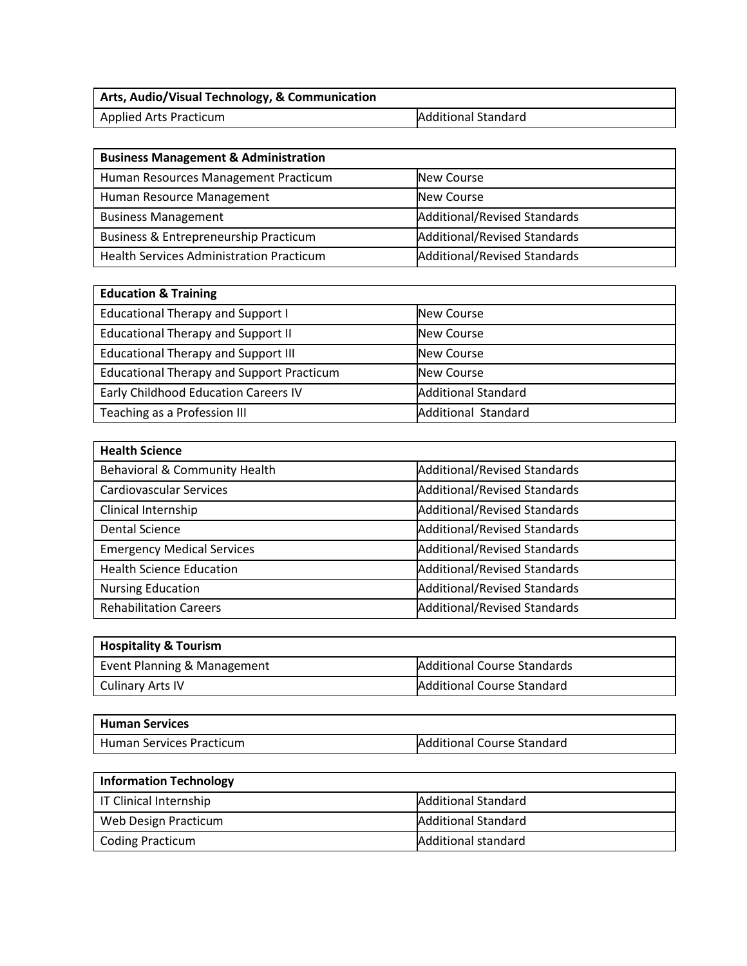| <b>Arts, Audio/Visual Technology, &amp; Communication</b> |                            |
|-----------------------------------------------------------|----------------------------|
| <b>Applied Arts Practicum</b>                             | <b>Additional Standard</b> |

| <b>Business Management &amp; Administration</b> |                                     |  |  |  |
|-------------------------------------------------|-------------------------------------|--|--|--|
| Human Resources Management Practicum            | New Course                          |  |  |  |
| Human Resource Management                       | New Course                          |  |  |  |
| <b>Business Management</b>                      | Additional/Revised Standards        |  |  |  |
| Business & Entrepreneurship Practicum           | <b>Additional/Revised Standards</b> |  |  |  |
| <b>Health Services Administration Practicum</b> | Additional/Revised Standards        |  |  |  |

| <b>Education &amp; Training</b>                  |                            |  |  |  |
|--------------------------------------------------|----------------------------|--|--|--|
| <b>Educational Therapy and Support I</b>         | New Course                 |  |  |  |
| <b>Educational Therapy and Support II</b>        | New Course                 |  |  |  |
| <b>Educational Therapy and Support III</b>       | New Course                 |  |  |  |
| <b>Educational Therapy and Support Practicum</b> | New Course                 |  |  |  |
| Early Childhood Education Careers IV             | <b>Additional Standard</b> |  |  |  |
| Teaching as a Profession III                     | <b>Additional Standard</b> |  |  |  |

| <b>Health Science</b>             |                                     |  |  |
|-----------------------------------|-------------------------------------|--|--|
| Behavioral & Community Health     | <b>Additional/Revised Standards</b> |  |  |
| <b>Cardiovascular Services</b>    | <b>Additional/Revised Standards</b> |  |  |
| Clinical Internship               | <b>Additional/Revised Standards</b> |  |  |
| <b>Dental Science</b>             | <b>Additional/Revised Standards</b> |  |  |
| <b>Emergency Medical Services</b> | <b>Additional/Revised Standards</b> |  |  |
| <b>Health Science Education</b>   | <b>Additional/Revised Standards</b> |  |  |
| <b>Nursing Education</b>          | <b>Additional/Revised Standards</b> |  |  |
| <b>Rehabilitation Careers</b>     | <b>Additional/Revised Standards</b> |  |  |

| Hospitality & Tourism       |                                    |  |  |
|-----------------------------|------------------------------------|--|--|
| Event Planning & Management | <b>Additional Course Standards</b> |  |  |
| <b>Culinary Arts IV</b>     | Additional Course Standard         |  |  |

| <b>Human Services</b>    |                            |
|--------------------------|----------------------------|
| Human Services Practicum | Additional Course Standard |

| Information Technology |                            |  |  |
|------------------------|----------------------------|--|--|
| IT Clinical Internship | <b>Additional Standard</b> |  |  |
| Web Design Practicum   | <b>Additional Standard</b> |  |  |
| Coding Practicum       | Additional standard        |  |  |